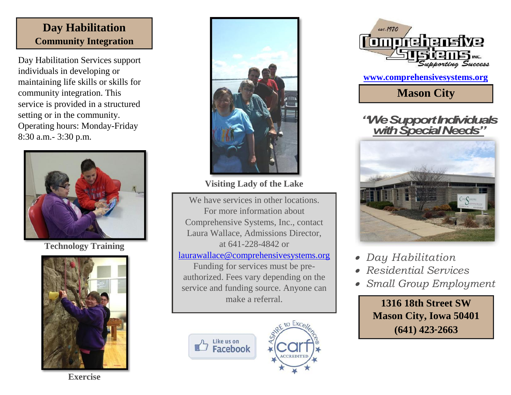### **Day Habilitation Community Integration**

Day Habilitation Services support individuals in developing or maintaining life skills or skills for community integration. This service is provided in a structured setting or in the community. Operating hours: Monday-Friday 8:30 a.m.- 3:30 p.m.



**Technology Training**





**Visiting Lady of the Lake**

We have services in other locations. For more information about Comprehensive Systems, Inc., contact Laura Wallace, Admissions Director, at 641-228-4842 or [laurawallace@comprehensivesystems.org](mailto:laurawallace@comprehensivesystems.org) Funding for services must be preauthorized. Fees vary depending on the service and funding source. Anyone can make a referral.







**[www.comprehensivesystems.org](http://www.comprehensivesystems.org/)**

**Mason City**

### *"We Support Individuals with Special Needs"*



- *Day Habilitation*
- *Residential Services*
- *Small Group Employment*

**1316 18th Street SW Mason City, Iowa 50401 (641) 423**-**2663**

**Exercise**